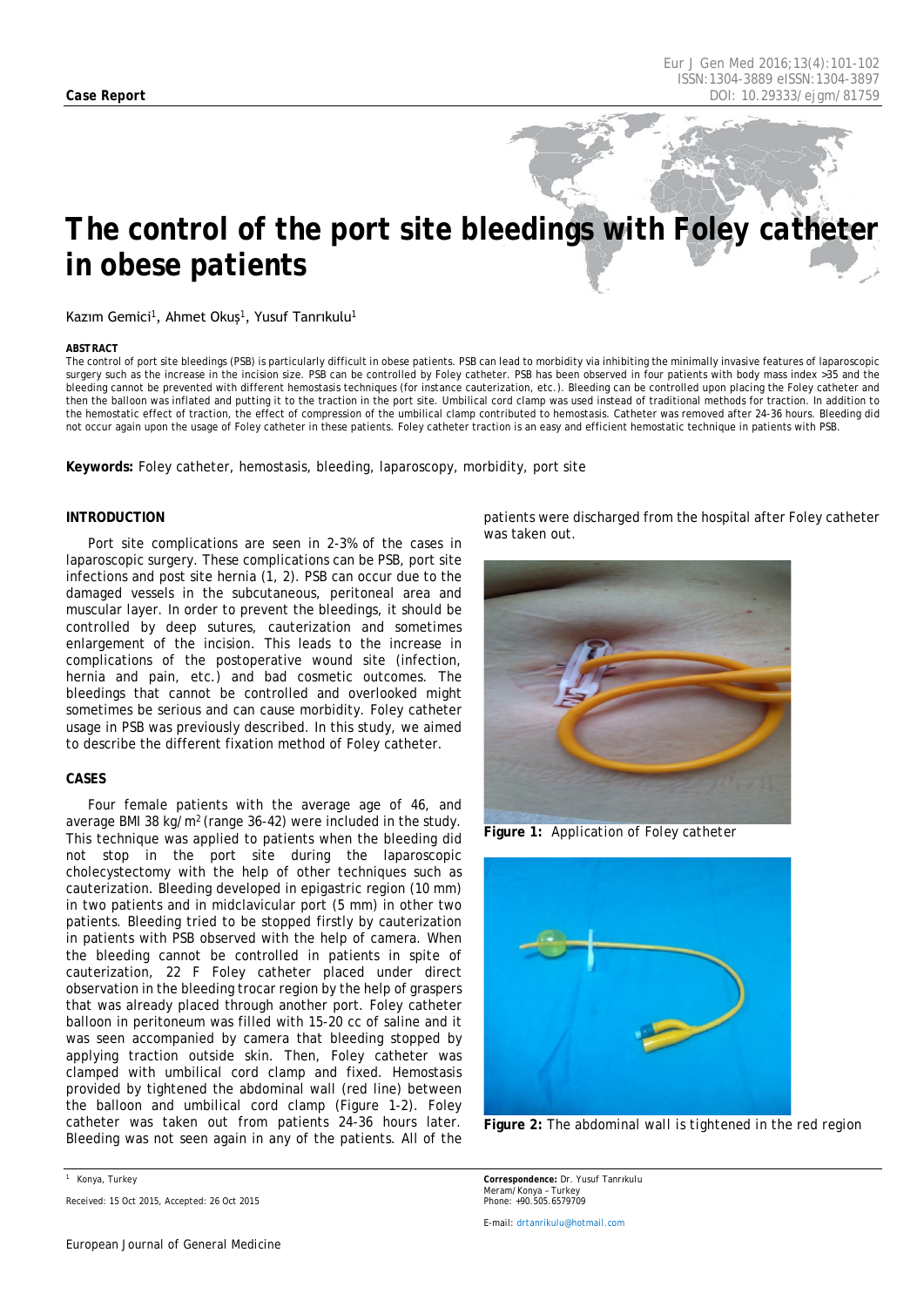# *The control of the port site bleedings with Foley catheter in obese patients*

## Kazım Gemici<sup>1</sup>, Ahmet Okuş<sup>1</sup>, Yusuf Tanrıkulu<sup>1</sup>

#### <span id="page-0-0"></span>*ABSTRACT*

The control of port site bleedings (PSB) is particularly difficult in obese patients. PSB can lead to morbidity via inhibiting the minimally invasive features of laparoscopic surgery such as the increase in the incision size. PSB can be controlled by Foley catheter. PSB has been observed in four patients with body mass index >35 and the bleeding cannot be prevented with different hemostasis techniques (for instance cauterization, etc.). Bleeding can be controlled upon placing the Foley catheter and then the balloon was inflated and putting it to the traction in the port site. Umbilical cord clamp was used instead of traditional methods for traction. In addition to the hemostatic effect of traction, the effect of compression of the umbilical clamp contributed to hemostasis. Catheter was removed after 24-36 hours. Bleeding did not occur again upon the usage of Foley catheter in these patients. Foley catheter traction is an easy and efficient hemostatic technique in patients with PSB.

**Keywords:** Foley catheter, hemostasis, bleeding, laparoscopy, morbidity, port site

## **INTRODUCTION**

Port site complications are seen in 2-3% of the cases in laparoscopic surgery. These complications can be PSB, port site infections and post site hernia (1, 2). PSB can occur due to the damaged vessels in the subcutaneous, peritoneal area and muscular layer. In order to prevent the bleedings, it should be controlled by deep sutures, cauterization and sometimes enlargement of the incision. This leads to the increase in complications of the postoperative wound site (infection, hernia and pain, etc.) and bad cosmetic outcomes. The bleedings that cannot be controlled and overlooked might sometimes be serious and can cause morbidity. Foley catheter usage in PSB was previously described. In this study, we aimed to describe the different fixation method of Foley catheter.

#### **CASES**

Four female patients with the average age of 46, and average BMI 38 kg/m2 (range 36-42) were included in the study. This technique was applied to patients when the bleeding did not stop in the port site during the laparoscopic cholecystectomy with the help of other techniques such as cauterization. Bleeding developed in epigastric region (10 mm) in two patients and in midclavicular port (5 mm) in other two patients. Bleeding tried to be stopped firstly by cauterization in patients with PSB observed with the help of camera. When the bleeding cannot be controlled in patients in spite of cauterization, 22 F Foley catheter placed under direct observation in the bleeding trocar region by the help of graspers that was already placed through another port. Foley catheter balloon in peritoneum was filled with 15-20 cc of saline and it was seen accompanied by camera that bleeding stopped by applying traction outside skin. Then, Foley catheter was clamped with umbilical cord clamp and fixed. Hemostasis provided by tightened the abdominal wall (red line) between the balloon and umbilical cord clamp (Figure 1-2). Foley catheter was taken out from patients 24-36 hours later. Bleeding was not seen again in any of the patients. All of the

patients were discharged from the hospital after Foley catheter was taken out.



**Figure 1:** *Application of Foley catheter*



**Figure 2:** *The abdominal wall is tightened in the red region*

*Correspondence: Dr. Yusuf Tanrıkulu Meram/Konya – Turkey Phone: +90.505.6579709*

*E-mail[: drtanrikulu@hotmail.com](mailto:drtanrikulu@hotmail.com)*

*<sup>1</sup> Konya, Turkey*

*Received: 15 Oct 2015, Accepted: 26 Oct 2015*